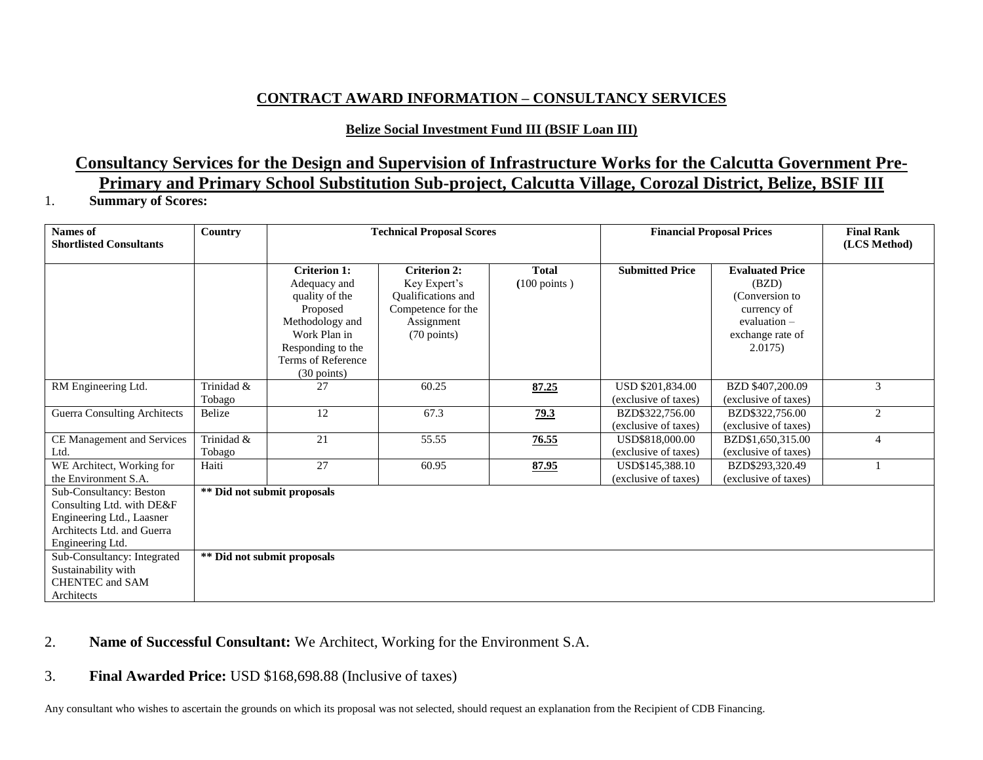## **CONTRACT AWARD INFORMATION – CONSULTANCY SERVICES**

## **Belize Social Investment Fund III (BSIF Loan III)**

# **Consultancy Services for the Design and Supervision of Infrastructure Works for the Calcutta Government Pre-Primary and Primary School Substitution Sub-project, Calcutta Village, Corozal District, Belize, BSIF III**

#### 1. **Summary of Scores:**

| <b>Names</b> of<br><b>Shortlisted Consultants</b>                                                                                                                                         | Country              | <b>Technical Proposal Scores</b>                                                                                                                               |                                                                                                              |                                        | <b>Financial Proposal Prices</b>         |                                                                                                                  | <b>Final Rank</b><br>(LCS Method) |
|-------------------------------------------------------------------------------------------------------------------------------------------------------------------------------------------|----------------------|----------------------------------------------------------------------------------------------------------------------------------------------------------------|--------------------------------------------------------------------------------------------------------------|----------------------------------------|------------------------------------------|------------------------------------------------------------------------------------------------------------------|-----------------------------------|
|                                                                                                                                                                                           |                      | <b>Criterion 1:</b><br>Adequacy and<br>quality of the<br>Proposed<br>Methodology and<br>Work Plan in<br>Responding to the<br>Terms of Reference<br>(30 points) | <b>Criterion 2:</b><br>Key Expert's<br>Qualifications and<br>Competence for the<br>Assignment<br>(70 points) | <b>Total</b><br>$(100 \text{ points})$ | <b>Submitted Price</b>                   | <b>Evaluated Price</b><br>(BZD)<br>(Conversion to<br>currency of<br>evaluation $-$<br>exchange rate of<br>2.0175 |                                   |
| RM Engineering Ltd.                                                                                                                                                                       | Trinidad &<br>Tobago | 27                                                                                                                                                             | 60.25                                                                                                        | 87.25                                  | USD \$201,834.00<br>(exclusive of taxes) | BZD \$407,200.09<br>(exclusive of taxes)                                                                         | 3                                 |
| <b>Guerra Consulting Architects</b>                                                                                                                                                       | Belize               | 12                                                                                                                                                             | 67.3                                                                                                         | 79.3                                   | BZD\$322,756.00<br>(exclusive of taxes)  | BZD\$322,756.00<br>(exclusive of taxes)                                                                          | 2                                 |
| CE Management and Services<br>Ltd.                                                                                                                                                        | Trinidad &<br>Tobago | 21                                                                                                                                                             | 55.55                                                                                                        | 76.55                                  | USD\$818,000.00<br>(exclusive of taxes)  | BZD\$1,650,315.00<br>(exclusive of taxes)                                                                        | 4                                 |
| WE Architect, Working for<br>the Environment S.A.                                                                                                                                         | Haiti                | 27                                                                                                                                                             | 60.95                                                                                                        | 87.95                                  | USD\$145,388.10<br>(exclusive of taxes)  | BZD\$293,320.49<br>(exclusive of taxes)                                                                          |                                   |
| Sub-Consultancy: Beston<br>Consulting Ltd. with DE&F<br>Engineering Ltd., Laasner<br>Architects Ltd. and Guerra<br>Engineering Ltd.<br>Sub-Consultancy: Integrated<br>Sustainability with |                      | ** Did not submit proposals<br>** Did not submit proposals                                                                                                     |                                                                                                              |                                        |                                          |                                                                                                                  |                                   |
| CHENTEC and SAM<br>Architects                                                                                                                                                             |                      |                                                                                                                                                                |                                                                                                              |                                        |                                          |                                                                                                                  |                                   |

### 2. **Name of Successful Consultant:** We Architect, Working for the Environment S.A.

### 3. **Final Awarded Price:** USD \$168,698.88 (Inclusive of taxes)

Any consultant who wishes to ascertain the grounds on which its proposal was not selected, should request an explanation from the Recipient of CDB Financing.